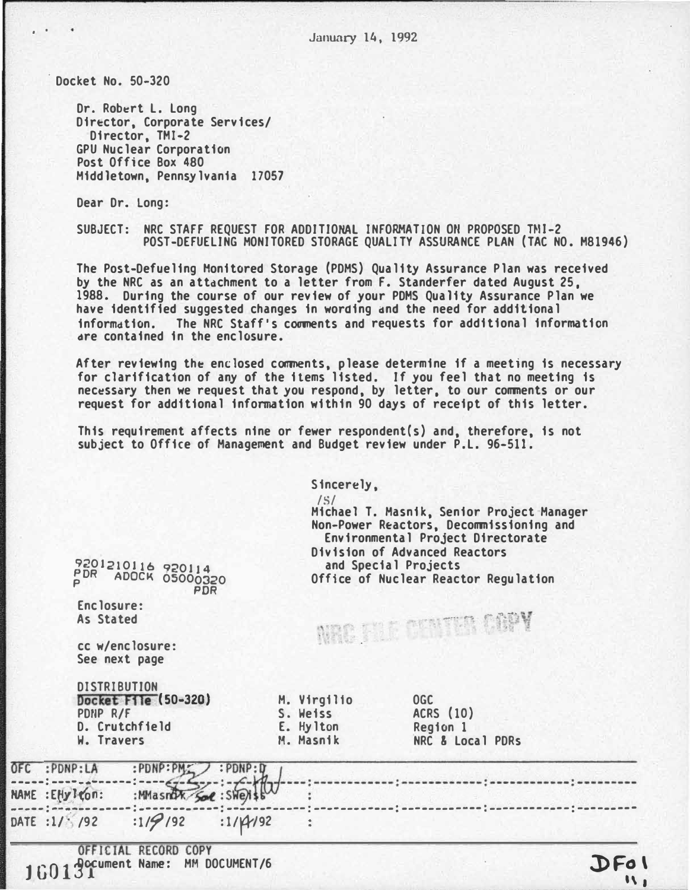Docket No. 50-320

Dr. Robert L. Long Director, Corporate Services/ Director, TMI-2 **GPU Nuclear Corporation** Post Office Box 480 Middletown, Pennsylvania 17057

Dear Dr. Long:

SUBJECT: NRC STAFF REQUEST FOR ADDITIONAL INFORMATION ON PROPOSED TMI-2 POST-DEFUELING MONITORED STORAGE QUALITY ASSURANCE PLAN (TAC NO. M81946)

The Post-Defueling Monitored Storage (PDMS) Quality Assurance Plan was received by the NRC as an attachment to a letter from F. Standerfer dated August 25, 1988. During the course of our review of your PDMS Quality Assurance Plan we have identified suggested changes in wording and the need for additional information. The NRC Staff's comments and requests for additional information are contained in the enclosure.

After reviewing the enclosed comments, please determine if a meeting is necessary for clarification of any of the items listed. If you feel that no meeting is necessary then we request that you respond, by letter, to our comments or our request for additional information within 90 days of receipt of this letter.

This requirement affects nine or fewer respondent(s) and, therefore, is not subject to Office of Management and Budget review under P.L. 96-511.

|  | 9201210116 920114<br>PDR ADOCK 05000320<br><b>PDR</b><br>Enclosure:<br>As Stated<br>cc w/enclosure:<br>See next page |                                                |                   |  | Sincerely,<br>$\frac{1}{5}$<br>Michael T. Masnik, Senior Project Manager<br>Non-Power Reactors, Decommissioning and<br>Environmental Project Directorate<br>Division of Advanced Reactors<br>and Special Projects<br>Office of Nuclear Reactor Regulation<br>NRC STE OKNIVA COPY |                                                         |  |  |
|--|----------------------------------------------------------------------------------------------------------------------|------------------------------------------------|-------------------|--|----------------------------------------------------------------------------------------------------------------------------------------------------------------------------------------------------------------------------------------------------------------------------------|---------------------------------------------------------|--|--|
|  |                                                                                                                      |                                                |                   |  |                                                                                                                                                                                                                                                                                  |                                                         |  |  |
|  | <b>DISTRIBUTION</b><br>PDNP R/F<br>W. Travers                                                                        | Docket File (50-320)<br>D. Crutchfield         |                   |  | M. Virgilio<br>S. Weiss<br>E. Hylton<br>M. Masnik                                                                                                                                                                                                                                | <b>OGC</b><br>ACRS (10)<br>Region 1<br>NRC & Local PDRs |  |  |
|  | OFC :PDNP:LA<br>NAME : EHy I con:                                                                                    | :PDNP:PM<br>:MMasnok Sol : SWey                | $:$ PDNP $:$ D    |  |                                                                                                                                                                                                                                                                                  |                                                         |  |  |
|  | DATE : $1/$ /92                                                                                                      | :119192                                        | $:1/\frac{4}{92}$ |  |                                                                                                                                                                                                                                                                                  |                                                         |  |  |
|  | 160131                                                                                                               | OFFICIAL RECORD COPY<br><b>A</b> ocument Name: | MM DOCUMENT/6     |  |                                                                                                                                                                                                                                                                                  |                                                         |  |  |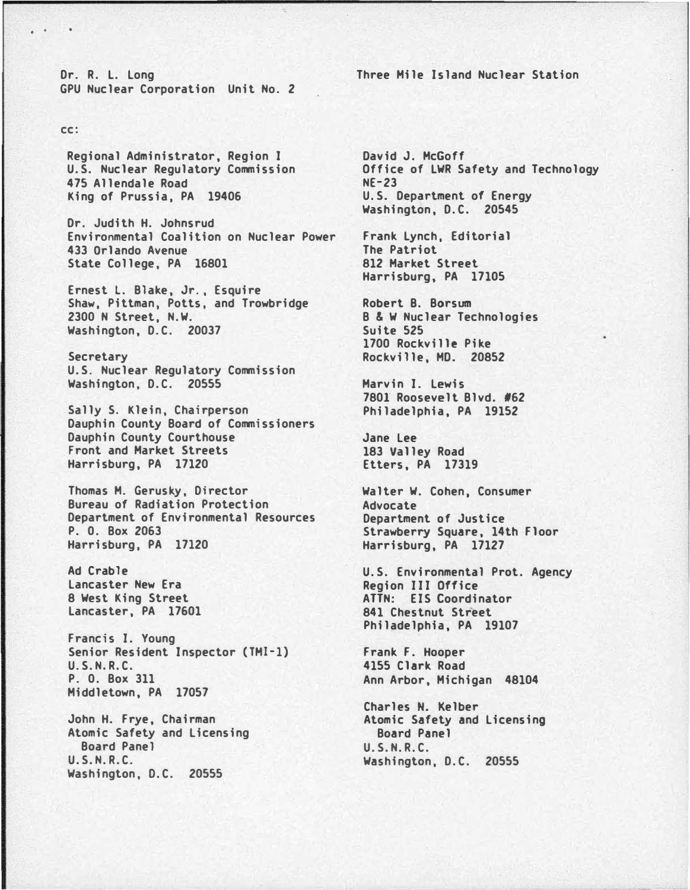Dr. R. L. long GPU Nuclear Corporation Unit No. 2

## cc:

. .

Regional Administrator, Region I U.S. Nuclear Regulatory Commission 475 Allendale Road King of Prussia, PA 19406

Dr. Judith H. Johnsrud Environmental Coalition on Nuclear Power 433 Orlando Avenue State College, PA 16801

Ernest l. Blake, Jr., Esquire Shaw, Pittman, Potts. and Trowbridge 2300 N Street, N.W. Washington, D.C. 20037

Secretary U.S. Nuclear Regulatory Commission Washington, D.C. 20555

Sally S. Klein, Chairperson Dauphin County Board of Commissioners Dauphin County Courthouse Front and Market Streets Harrisburg, PA 17120

Thomas M. Gerusky, Director Bureau of Radiation Protection Department of Environmental Resources P. 0. Box 2063 Harrisburg, PA 17120

Ad Crable lancaster New Era 8 West King Street Lancaster, PA 17601

Francis I. Young Senior Resident Inspector (TMI-1) U.S.N.R.C. P. 0. Box 311 Middletown, PA 17057

John H. Frye, Chairman Atomic Safety and licensing Board Panel U.S.N.R.C. Washington, D.C. 20555

Three Mile Island Nuclear Station

David J. McGoff Office of LWR Safety and Technology NE-23 U.S. Department of Energy Washington, D.C. 20545

Frank Lynch, Editorial The Patriot 812 Market Street Harrisburg, PA 17105

Robert B. Borsum B & W Nuclear Technologies Suite 525 1700 Rockville Pike Rockville, MO. 20852

Marvin I. lewis 7801 Roosevelt Blvd. #62 Philadelphia, PA 19152

Jane lee 183 Valley Road Etters, PA 17319

Walter W. Cohen, Consumer Advocate Department of Justice Strawberry Square, 14th Floor Harrisburg, PA 17127

U.S. Environmental Prot. Agency Region III Office ATTN: EIS Coordinator 841 Chestnut Street Philadelphia, PA 19107

Frank F. Hooper 4155 Clark Road Ann Arbor, Michigan 48104

Charles N. Kelber Atomic Safety and licensing Board Panel U.S.N.R.C. Washington, D.C. 20555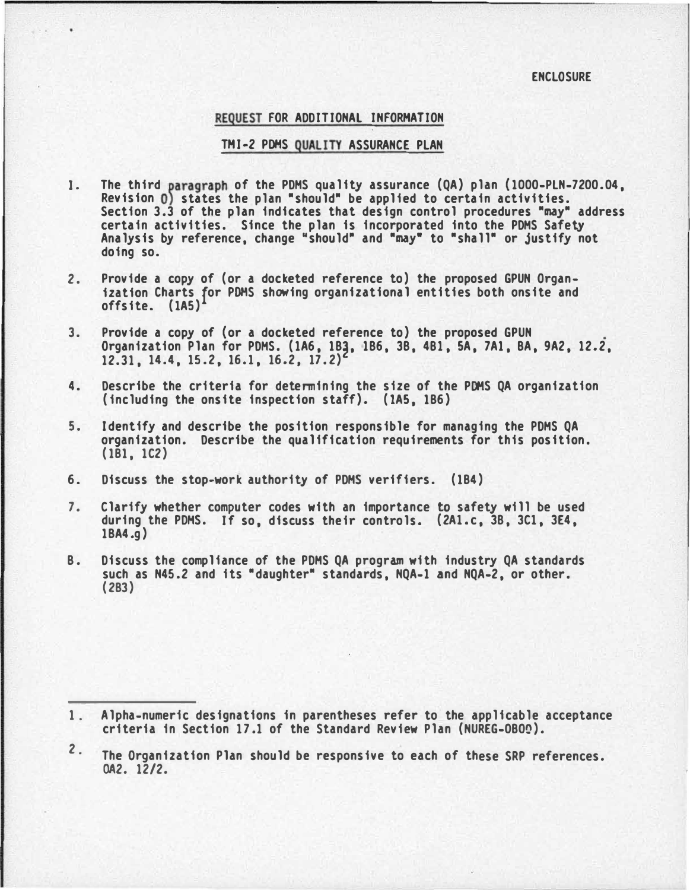## **ENCLOSURE**

## REQUEST FOR ADDITIONAL INFORMATION

## TMI-2 POHS QUALITY ASSURANCE PLAN

- I. The third paragraph of the PDMS quality assurance (QA) plan (1000-PLN-7200.04, Revision 0) states the plan "should" be applied to certain activities. Section 3.3 of the plan indicates that design control procedures "may" address certain activities. Since the plan is incorporated into the PDHS Safety Analysis by reference, change "should" and "may" to "shall" or justify not doing so.
- 2. Provide a copy of (or a docketed reference to) the proposed GPUN Organization Charts for POHS showing organizational entities both onsite and offsite. (lAS)
- 3. Provide a copy of {or a docketed reference to) the proposed GPUN Organization Plan for PDHS. (1A6, 18�, 186, 38, 481, SA, 7A1, 8A, 9A2, 12.2, 12.31, 14.4, 15.2, 16.1, 16.2, 17.2)
- 4. Describe the criteria for determining the size of the PDHS QA organization (including the onsite inspection staff). (lAS, 186)
- s. Identify and describe the position responsible for managing the PDHS QA organization. Describe the qualification requirements for this position. ( 181, 1C2)
- 6. Discuss the stop-work authority of PDHS verifiers. (184)
- 7. Clarify whether computer codes with an importance to safety will be used during the PDHS. If so, discuss their controls. (2Al.c, 38, 3Cl, 3E4, 18A4.g)
- 8. Discuss the compliance of the PDHS QA program with industry QA standards such as N45.2 and its "daughter" standards, NQA-1 and NQA-2, or other. (283)

<sup>1.</sup>  Alpha-numeric designations in parentheses refer to the applicable acceptance criteria in Section 17.1 of the Standard Review Plan (NUREG-080Q).

 $2.$ The Organization Plan should be responsive to each of these SRP references. OA2. 12/2.